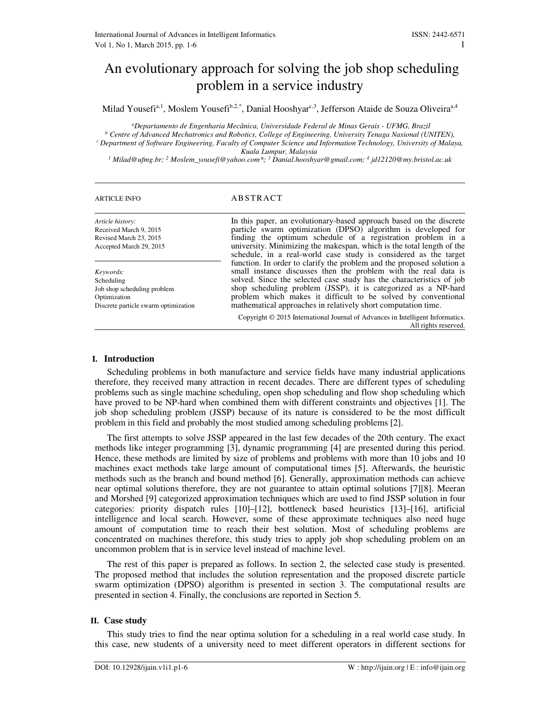# An evolutionary approach for solving the job shop scheduling problem in a service industry

Milad Yousefi<sup>a,1</sup>, Moslem Yousefi<sup>b,2,\*</sup>, Danial Hooshyar<sup>c,3</sup>, Jefferson Ataide de Souza Oliveira<sup>a,4</sup>

*<sup>a</sup>Departamento de Engenharia Mecânica, Universidade Federal de Minas Gerais - UFMG, Brazil b* Centre of Advanced Mechatronics and Robotics, College of Engineering, University Tenaga Nasional (UNITEN), *<sup>c</sup>Department of Software Engineering, Faculty of Computer Science and Information Technology, University of Malaya, Kuala Lumpur, Malaysia* 

*1 Milad@ufmg.br; <sup>2</sup> Moslem\_yousefi@yahoo.com\*; <sup>3</sup> Danial.hooshyar@gmail.com; <sup>4</sup> jd12120@my.bristol.ac.uk* 

# ARTICLE INFO ABSTRACT

| Article history:<br>Received March 9, 2015<br>Revised March 23, 2015<br>Accepted March 29, 2015                | In this paper, an evolutionary-based approach based on the discrete<br>particle swarm optimization (DPSO) algorithm is developed for<br>finding the optimum schedule of a registration problem in a<br>university. Minimizing the makespan, which is the total length of the<br>schedule, in a real-world case study is considered as the target                                                                     |
|----------------------------------------------------------------------------------------------------------------|----------------------------------------------------------------------------------------------------------------------------------------------------------------------------------------------------------------------------------------------------------------------------------------------------------------------------------------------------------------------------------------------------------------------|
| Keywords:<br>Scheduling<br>Job shop scheduling problem<br>Optimization<br>Discrete particle swarm optimization | function. In order to clarify the problem and the proposed solution a<br>small instance discusses then the problem with the real data is<br>solved. Since the selected case study has the characteristics of job<br>shop scheduling problem (JSSP), it is categorized as a NP-hard<br>problem which makes it difficult to be solved by conventional<br>mathematical approaches in relatively short computation time. |
|                                                                                                                | Copyright © 2015 International Journal of Advances in Intelligent Informatics.<br>All rights reserved.                                                                                                                                                                                                                                                                                                               |

# **I. Introduction**

Scheduling problems in both manufacture and service fields have many industrial applications therefore, they received many attraction in recent decades. There are different types of scheduling problems such as single machine scheduling, open shop scheduling and flow shop scheduling which have proved to be NP-hard when combined them with different constraints and objectives [1]. The job shop scheduling problem (JSSP) because of its nature is considered to be the most difficult problem in this field and probably the most studied among scheduling problems [2].

The first attempts to solve JSSP appeared in the last few decades of the 20th century. The exact methods like integer programming [3], dynamic programming [4] are presented during this period. Hence, these methods are limited by size of problems and problems with more than 10 jobs and 10 machines exact methods take large amount of computational times [5]. Afterwards, the heuristic methods such as the branch and bound method [6]. Generally, approximation methods can achieve near optimal solutions therefore, they are not guarantee to attain optimal solutions [7][8]. Meeran and Morshed [9] categorized approximation techniques which are used to find JSSP solution in four categories: priority dispatch rules [10]–[12], bottleneck based heuristics [13]–[16], artificial intelligence and local search. However, some of these approximate techniques also need huge amount of computation time to reach their best solution. Most of scheduling problems are concentrated on machines therefore, this study tries to apply job shop scheduling problem on an uncommon problem that is in service level instead of machine level.

The rest of this paper is prepared as follows. In section 2, the selected case study is presented. The proposed method that includes the solution representation and the proposed discrete particle swarm optimization (DPSO) algorithm is presented in section 3. The computational results are presented in section 4. Finally, the conclusions are reported in Section 5.

# **II. Case study**

This study tries to find the near optima solution for a scheduling in a real world case study. In this case, new students of a university need to meet different operators in different sections for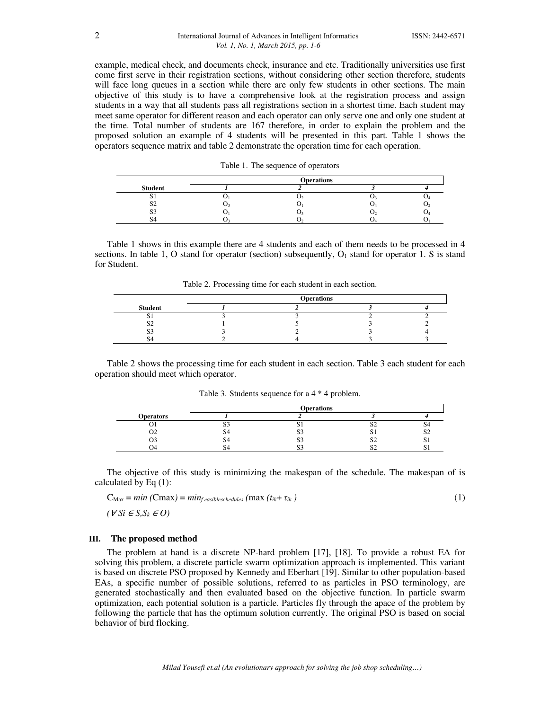example, medical check, and documents check, insurance and etc. Traditionally universities use first come first serve in their registration sections, without considering other section therefore, students will face long queues in a section while there are only few students in other sections. The main objective of this study is to have a comprehensive look at the registration process and assign students in a way that all students pass all registrations section in a shortest time. Each student may meet same operator for different reason and each operator can only serve one and only one student at the time. Total number of students are 167 therefore, in order to explain the problem and the proposed solution an example of 4 students will be presented in this part. Table 1 shows the operators sequence matrix and table 2 demonstrate the operation time for each operation.

|  |  |  |  | Table 1. The sequence of operators |
|--|--|--|--|------------------------------------|
|--|--|--|--|------------------------------------|

|                | <b>Operations</b> |  |
|----------------|-------------------|--|
| <b>Student</b> |                   |  |
| ມ              |                   |  |
| o۰<br>←ر       |                   |  |
|                |                   |  |
|                |                   |  |

Table 1 shows in this example there are 4 students and each of them needs to be processed in 4 sections. In table 1, O stand for operator (section) subsequently,  $O<sub>1</sub>$  stand for operator 1. S is stand for Student.

| Table 2. Processing time for each student in each section. |  |
|------------------------------------------------------------|--|
|------------------------------------------------------------|--|

|                | <b>Operations</b> |  |
|----------------|-------------------|--|
| <b>Student</b> |                   |  |
|                |                   |  |
|                |                   |  |
| ີ              |                   |  |
|                |                   |  |

Table 2 shows the processing time for each student in each section. Table 3 each student for each operation should meet which operator.

|                  |               | <b>Operations</b> |   |  |
|------------------|---------------|-------------------|---|--|
| <b>Operators</b> |               |                   |   |  |
|                  | $\sim$ $\sim$ | ື                 | ◡ |  |
| υz               |               | Ю.                | ື |  |
|                  |               | ЮJ                | ◡ |  |
|                  |               | ນ.                | ◡ |  |

Table 3. Students sequence for a 4 \* 4 problem.

The objective of this study is minimizing the makespan of the schedule. The makespan of is calculated by Eq (1):

$$
C_{\text{Max}} = \min \left( C \max \right) = \min_{f \text{ easilyless} \text{heads}} \left( \max \left( t_{ik} + \tau_{ik} \right) \right) \tag{1}
$$

 $(V S_i E S_i S_k E O)$ 

# **III. The proposed method**

The problem at hand is a discrete NP-hard problem [17], [18]. To provide a robust EA for solving this problem, a discrete particle swarm optimization approach is implemented. This variant is based on discrete PSO proposed by Kennedy and Eberhart [19]. Similar to other population-based EAs, a specific number of possible solutions, referred to as particles in PSO terminology, are generated stochastically and then evaluated based on the objective function. In particle swarm optimization, each potential solution is a particle. Particles fly through the apace of the problem by following the particle that has the optimum solution currently. The original PSO is based on social behavior of bird flocking.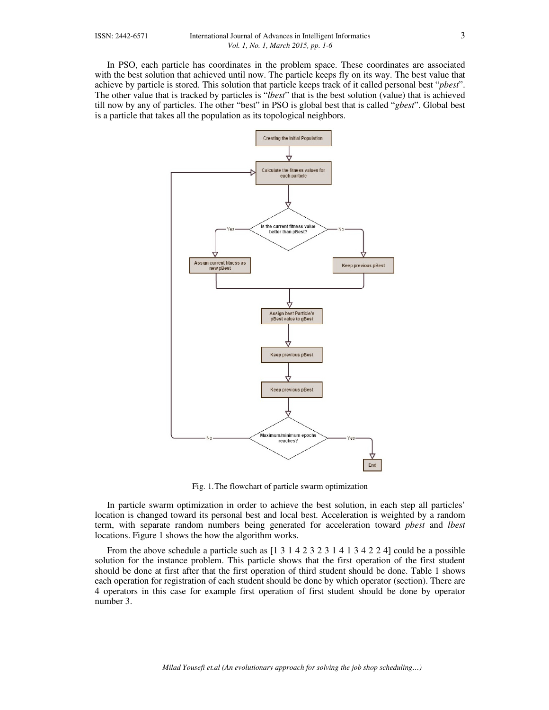In PSO, each particle has coordinates in the problem space. These coordinates are associated with the best solution that achieved until now. The particle keeps fly on its way. The best value that achieve by particle is stored. This solution that particle keeps track of it called personal best "*pbest*". The other value that is tracked by particles is "*lbest*" that is the best solution (value) that is achieved till now by any of particles. The other "best" in PSO is global best that is called "*gbest*". Global best is a particle that takes all the population as its topological neighbors.



Fig. 1.The flowchart of particle swarm optimization

In particle swarm optimization in order to achieve the best solution, in each step all particles' location is changed toward its personal best and local best. Acceleration is weighted by a random term, with separate random numbers being generated for acceleration toward *pbest* and *lbest* locations. Figure 1 shows the how the algorithm works.

From the above schedule a particle such as  $[1\ 3\ 1\ 4\ 2\ 3\ 2\ 3\ 1\ 4\ 1\ 3\ 4\ 2\ 2\ 4]$  could be a possible solution for the instance problem. This particle shows that the first operation of the first student should be done at first after that the first operation of third student should be done. Table 1 shows each operation for registration of each student should be done by which operator (section). There are 4 operators in this case for example first operation of first student should be done by operator number 3.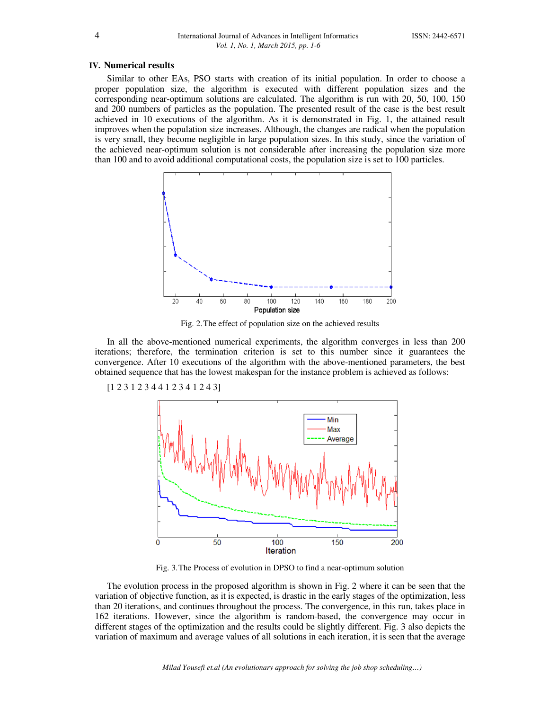### **IV. Numerical results**

Similar to other EAs, PSO starts with creation of its initial population. In order to choose a proper population size, the algorithm is executed with different population sizes and the corresponding near-optimum solutions are calculated. The algorithm is run with 20, 50, 100, 150 and 200 numbers of particles as the population. The presented result of the case is the best result achieved in 10 executions of the algorithm. As it is demonstrated in Fig. 1, the attained result improves when the population size increases. Although, the changes are radical when the population is very small, they become negligible in large population sizes. In this study, since the variation of the achieved near-optimum solution is not considerable after increasing the population size more than 100 and to avoid additional computational costs, the population size is set to 100 particles.



Fig. 2.The effect of population size on the achieved results

In all the above-mentioned numerical experiments, the algorithm converges in less than 200 iterations; therefore, the termination criterion is set to this number since it guarantees the convergence. After 10 executions of the algorithm with the above-mentioned parameters, the best obtained sequence that has the lowest makespan for the instance problem is achieved as follows:

[1 2 3 1 2 3 4 4 1 2 3 4 1 2 4 3]



Fig. 3.The Process of evolution in DPSO to find a near-optimum solution

The evolution process in the proposed algorithm is shown in Fig. 2 where it can be seen that the variation of objective function, as it is expected, is drastic in the early stages of the optimization, less than 20 iterations, and continues throughout the process. The convergence, in this run, takes place in 162 iterations. However, since the algorithm is random-based, the convergence may occur in different stages of the optimization and the results could be slightly different. Fig. 3 also depicts the variation of maximum and average values of all solutions in each iteration, it is seen that the average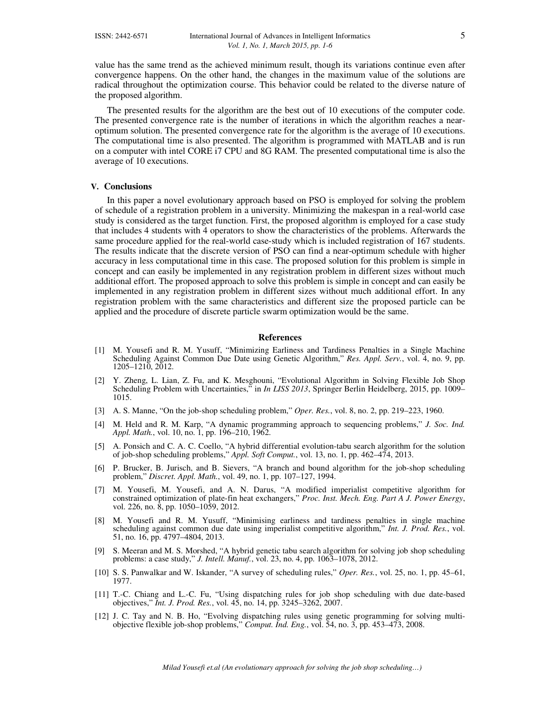value has the same trend as the achieved minimum result, though its variations continue even after convergence happens. On the other hand, the changes in the maximum value of the solutions are radical throughout the optimization course. This behavior could be related to the diverse nature of the proposed algorithm.

The presented results for the algorithm are the best out of 10 executions of the computer code. The presented convergence rate is the number of iterations in which the algorithm reaches a nearoptimum solution. The presented convergence rate for the algorithm is the average of 10 executions. The computational time is also presented. The algorithm is programmed with MATLAB and is run on a computer with intel CORE i7 CPU and 8G RAM. The presented computational time is also the average of 10 executions.

# **V. Conclusions**

In this paper a novel evolutionary approach based on PSO is employed for solving the problem of schedule of a registration problem in a university. Minimizing the makespan in a real-world case study is considered as the target function. First, the proposed algorithm is employed for a case study that includes 4 students with 4 operators to show the characteristics of the problems. Afterwards the same procedure applied for the real-world case-study which is included registration of 167 students. The results indicate that the discrete version of PSO can find a near-optimum schedule with higher accuracy in less computational time in this case. The proposed solution for this problem is simple in concept and can easily be implemented in any registration problem in different sizes without much additional effort. The proposed approach to solve this problem is simple in concept and can easily be implemented in any registration problem in different sizes without much additional effort. In any registration problem with the same characteristics and different size the proposed particle can be applied and the procedure of discrete particle swarm optimization would be the same.

#### **References**

- [1] M. Yousefi and R. M. Yusuff, "Minimizing Earliness and Tardiness Penalties in a Single Machine Scheduling Against Common Due Date using Genetic Algorithm," *Res. Appl. Serv.*, vol. 4, no. 9, pp. 1205–1210, 2012.
- [2] Y. Zheng, L. Lian, Z. Fu, and K. Mesghouni, "Evolutional Algorithm in Solving Flexible Job Shop Scheduling Problem with Uncertainties," in *In LISS 2013*, Springer Berlin Heidelberg, 2015, pp. 1009– 1015.
- [3] A. S. Manne, "On the job-shop scheduling problem," *Oper. Res.*, vol. 8, no. 2, pp. 219–223, 1960.
- [4] M. Held and R. M. Karp, "A dynamic programming approach to sequencing problems," *J. Soc. Ind. Appl. Math.*, vol. 10, no. 1, pp. 196–210, 1962.
- [5] A. Ponsich and C. A. C. Coello, "A hybrid differential evolution-tabu search algorithm for the solution of job-shop scheduling problems," *Appl. Soft Comput.*, vol. 13, no. 1, pp. 462–474, 2013.
- [6] P. Brucker, B. Jurisch, and B. Sievers, "A branch and bound algorithm for the job-shop scheduling problem," *Discret. Appl. Math.*, vol. 49, no. 1, pp. 107–127, 1994.
- [7] M. Yousefi, M. Yousefi, and A. N. Darus, "A modified imperialist competitive algorithm for constrained optimization of plate-fin heat exchangers," *Proc. Inst. Mech. Eng. Part A J. Power Energy*, vol. 226, no.  $\hat{8}$ , pp. 1050–1059, 2012.
- [8] M. Yousefi and R. M. Yusuff, "Minimising earliness and tardiness penalties in single machine scheduling against common due date using imperialist competitive algorithm," *Int. J. Prod. Res.*, vol. 51, no. 16, pp. 4797–4804, 2013.
- [9] S. Meeran and M. S. Morshed, "A hybrid genetic tabu search algorithm for solving job shop scheduling problems: a case study," *J. Intell. Manuf.*, vol. 23, no. 4, pp. 1063–1078, 2012.
- [10] S. S. Panwalkar and W. Iskander, "A survey of scheduling rules," *Oper. Res.*, vol. 25, no. 1, pp. 45–61, 1977.
- [11] T.-C. Chiang and L.-C. Fu, "Using dispatching rules for job shop scheduling with due date-based objectives," *Int. J. Prod. Res.*, vol. 45, no. 14, pp. 3245–3262, 2007.
- [12] J. C. Tay and N. B. Ho, "Evolving dispatching rules using genetic programming for solving multiobjective flexible job-shop problems," *Comput. Ind. Eng.*, vol. 54, no. 3, pp. 453–473, 2008.